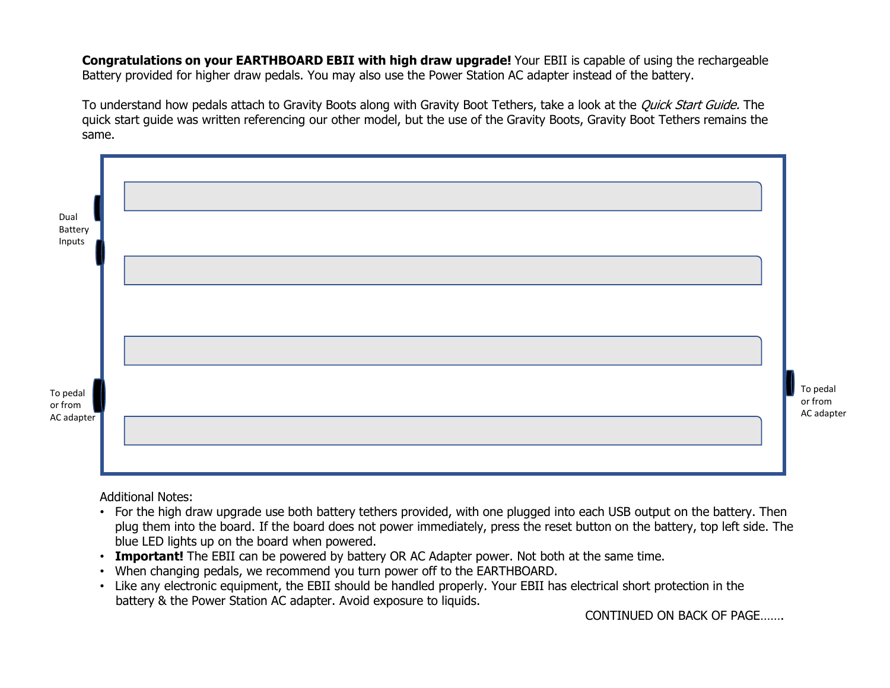**Congratulations on your EARTHBOARD EBII with high draw upgrade!** Your EBII is capable of using the rechargeable<br>Battery provided for higher draw pedals. You may also use the Power Station AC adapter instead of the battery Battery provided for higher draw pedals. You may also use the Power Station AC adapter instead of the battery.

**Congratulations on your EARTHBOARD EBII with high draw upgrade!** Your EBII is capable of using the rechargeable Battery provided for higher draw pedals. You may also use the Power Station AC adapter instead of the battery same.



Additional Notes:

- plug them into the board. If the board does not power immediately, press the reset button on the battery, top left side. The
- 
- 
- battery & the Power Station AC adapter. Avoid exposure to liquids.

CONTINUED ON BACK OF PAGE…….